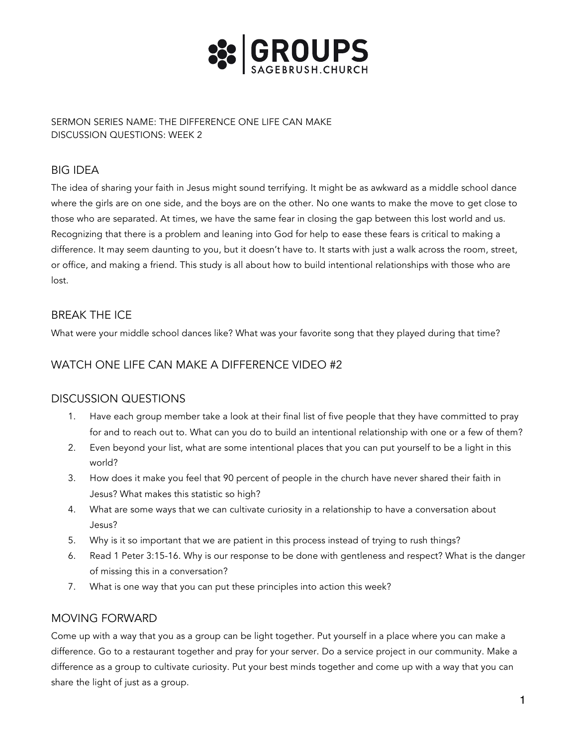

SERMON SERIES NAME: THE DIFFERENCE ONE LIFE CAN MAKE DISCUSSION QUESTIONS: WEEK 2

# BIG IDEA

The idea of sharing your faith in Jesus might sound terrifying. It might be as awkward as a middle school dance where the girls are on one side, and the boys are on the other. No one wants to make the move to get close to those who are separated. At times, we have the same fear in closing the gap between this lost world and us. Recognizing that there is a problem and leaning into God for help to ease these fears is critical to making a difference. It may seem daunting to you, but it doesn't have to. It starts with just a walk across the room, street, or office, and making a friend. This study is all about how to build intentional relationships with those who are lost.

# BREAK THE ICE

What were your middle school dances like? What was your favorite song that they played during that time?

# WATCH ONE LIFE CAN MAKE A DIFFERENCE VIDEO #2

# DISCUSSION QUESTIONS

- 1. Have each group member take a look at their final list of five people that they have committed to pray for and to reach out to. What can you do to build an intentional relationship with one or a few of them?
- 2. Even beyond your list, what are some intentional places that you can put yourself to be a light in this world?
- 3. How does it make you feel that 90 percent of people in the church have never shared their faith in Jesus? What makes this statistic so high?
- 4. What are some ways that we can cultivate curiosity in a relationship to have a conversation about Jesus?
- 5. Why is it so important that we are patient in this process instead of trying to rush things?
- 6. Read 1 Peter 3:15-16. Why is our response to be done with gentleness and respect? What is the danger of missing this in a conversation?
- 7. What is one way that you can put these principles into action this week?

# MOVING FORWARD

Come up with a way that you as a group can be light together. Put yourself in a place where you can make a difference. Go to a restaurant together and pray for your server. Do a service project in our community. Make a difference as a group to cultivate curiosity. Put your best minds together and come up with a way that you can share the light of just as a group.